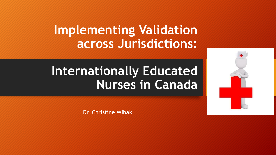## **Implementing Validation across Jurisdictions:**

# **Internationally Educated Nurses in Canada**



Dr. Christine Wihak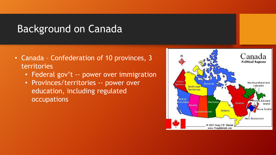#### Background on Canada

- Canada Confederation of 10 provinces, 3 territories
	- Federal gov't -- power over immigration
	- Provinces/territories -- power over education, including regulated occupations

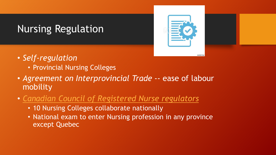## Nursing Regulation



- *Self-regulation*
	- Provincial Nursing Colleges
- *Agreement on Interprovincial Trade* -- ease of labour mobility
- *[Canadian Council of Registered Nurse regulators](https://www.ccrnr.ca/entry-to-practice.html)*
	- 10 Nursing Colleges collaborate nationally
	- National exam to enter Nursing profession in any province except Quebec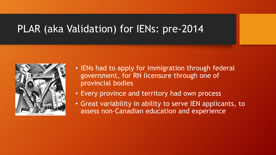#### PLAR (aka Validation) for IENs: pre-2014



- IENs had to apply for immigration through federal government, for RN licensure through one of provincial bodies
- Every province and territory had own process
- Great variability in ability to serve IEN applicants, to assess non-Canadian education and experience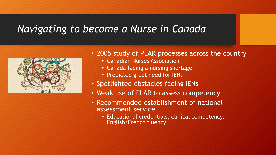#### *Navigating to become a Nurse in Canada*



#### • 2005 study of PLAR processes across the country

- Canadian Nurses Association
- Canada facing a nursing shortage
- Predicted great need for IENs
- Spotlighted obstacles facing IENs
- Weak use of PLAR to assess competency
- Recommended establishment of national assessment service
	- Educational credentials, clinical competency, English/French fluency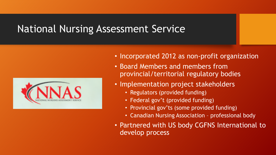#### National Nursing Assessment Service



- Incorporated 2012 as non-profit organization
- Board Members and members from provincial/territorial regulatory bodies
- Implementation project stakeholders
	- Regulators (provided funding)
	- Federal gov't (provided funding)
	- Provincial gov'ts (some provided funding)
	- Canadian Nursing Association professional body
- Partnered with US body CGFNS International to develop process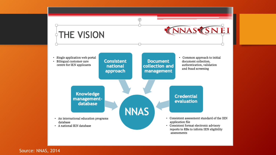

Source: NNAS, 2014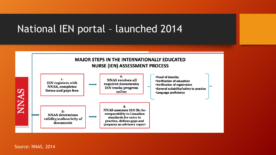### National IEN portal – launched 2014



Source: NNAS, 2014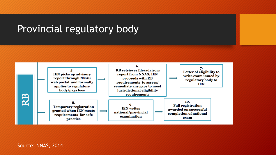#### Provincial regulatory body

![](_page_8_Figure_1.jpeg)

Source: NNAS, 2014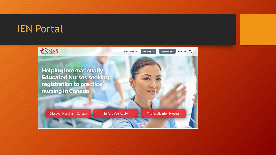#### **[IEN Portal](https://www.nnas.ca/)**

![](_page_9_Picture_1.jpeg)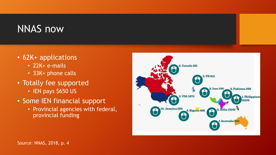### NNAS now

- 62K+ applications
	- 22K+ e-mails
	- 33K+ phone calls
- Totally fee supported
	- IEN pays \$650 US
- Some IEN financial support
	- Provincial agencies with federal, provincial funding

![](_page_10_Figure_8.jpeg)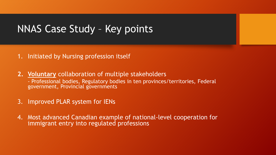#### NNAS Case Study – Key points

#### 1. Initiated by Nursing profession itself

- **2. Voluntary** collaboration of multiple stakeholders - Professional bodies, Regulatory bodies in ten provinces/territories, Federal government, Provincial governments
- 3. Improved PLAR system for IENs
- 4. Most advanced Canadian example of national-level cooperation for immigrant entry into regulated professions